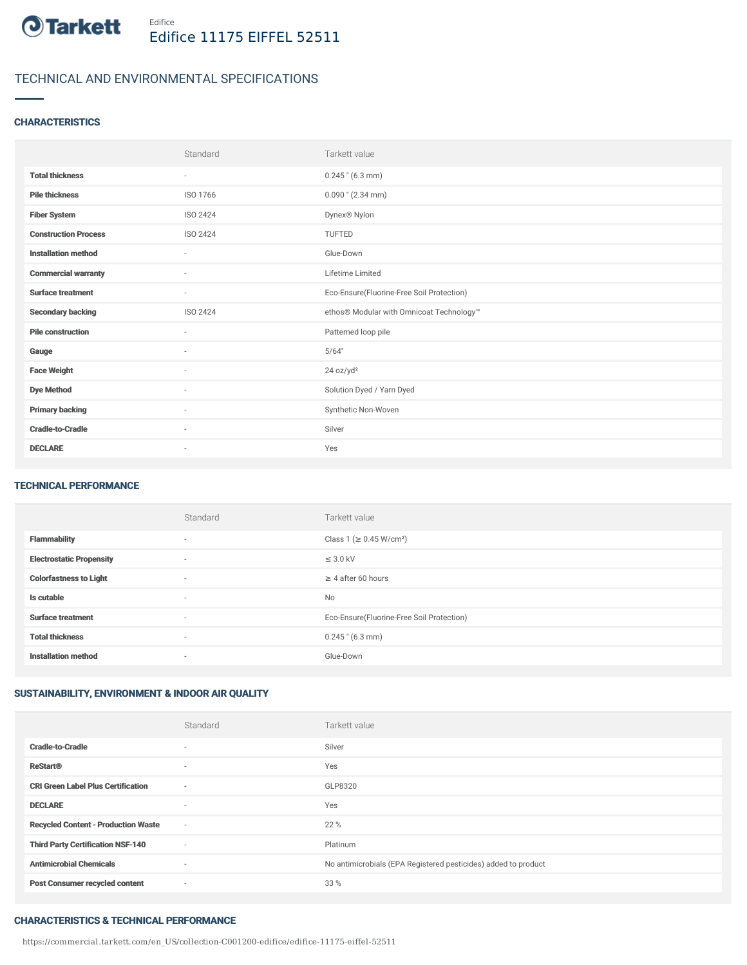

# TECHNICAL AND ENVIRONMENTAL SPECIFICATIONS

## **CHARACTERISTICS**

|                             | Standard                 | Tarkett value                             |
|-----------------------------|--------------------------|-------------------------------------------|
| <b>Total thickness</b>      | $\sim$                   | $0.245$ " (6.3 mm)                        |
| <b>Pile thickness</b>       | ISO 1766                 | $0.090$ " (2.34 mm)                       |
| <b>Fiber System</b>         | ISO 2424                 | Dynex <sup>®</sup> Nylon                  |
| <b>Construction Process</b> | <b>ISO 2424</b>          | TUFTED                                    |
| <b>Installation method</b>  | $\sim$                   | Glue-Down                                 |
| <b>Commercial warranty</b>  | ٠                        | Lifetime Limited                          |
| <b>Surface treatment</b>    | $\sim$                   | Eco-Ensure(Fluorine-Free Soil Protection) |
| <b>Secondary backing</b>    | <b>ISO 2424</b>          | ethos® Modular with Omnicoat Technology™  |
| <b>Pile construction</b>    | ٠                        | Patterned loop pile                       |
| Gauge                       | $\sim$                   | 5/64"                                     |
| <b>Face Weight</b>          | $\overline{\phantom{a}}$ | 24 oz/yd <sup>2</sup>                     |
| <b>Dye Method</b>           | $\sim$                   | Solution Dyed / Yarn Dyed                 |
| <b>Primary backing</b>      | ٠                        | Synthetic Non-Woven                       |
| <b>Cradle-to-Cradle</b>     | $\sim$                   | Silver                                    |
| <b>DECLARE</b>              | $\sim$                   | Yes                                       |

#### TECHNICAL PERFORMANCE

|                                 | Standard                 | Tarkett value                             |
|---------------------------------|--------------------------|-------------------------------------------|
| <b>Flammability</b>             | $\overline{\phantom{a}}$ | Class 1 (≥ 0.45 W/cm <sup>2</sup> )       |
| <b>Electrostatic Propensity</b> | $\overline{\phantom{a}}$ | $\leq$ 3.0 kV                             |
| <b>Colorfastness to Light</b>   | $\overline{\phantom{a}}$ | $\geq 4$ after 60 hours                   |
| Is cutable                      | $\sim$                   | <b>No</b>                                 |
| <b>Surface treatment</b>        | $\overline{\phantom{a}}$ | Eco-Ensure(Fluorine-Free Soil Protection) |
| <b>Total thickness</b>          | $\overline{\phantom{a}}$ | $0.245$ " (6.3 mm)                        |
| <b>Installation method</b>      | $\overline{\phantom{a}}$ | Glue-Down                                 |

# SUSTAINABILITY, ENVIRONMENT & INDOOR AIR QUALITY

|                                            | Standard                 | Tarkett value                                                  |
|--------------------------------------------|--------------------------|----------------------------------------------------------------|
| <b>Cradle-to-Cradle</b>                    | $\overline{\phantom{a}}$ | Silver                                                         |
| <b>ReStart®</b>                            | $\overline{\phantom{a}}$ | Yes                                                            |
| <b>CRI Green Label Plus Certification</b>  | $\sim$                   | GLP8320                                                        |
| <b>DECLARE</b>                             | $\overline{\phantom{a}}$ | Yes                                                            |
| <b>Recycled Content - Production Waste</b> | $\sim$                   | 22 %                                                           |
| <b>Third Party Certification NSF-140</b>   | $\sim$                   | Platinum                                                       |
| <b>Antimicrobial Chemicals</b>             | $\sim$                   | No antimicrobials (EPA Registered pesticides) added to product |
| <b>Post Consumer recycled content</b>      | $\sim$                   | 33 %                                                           |

#### CHARACTERISTICS & TECHNICAL PERFORMANCE

https://commercial.tarkett.com/en\_US/collection-C001200-edifice/edifice-11175-eiffel-52511